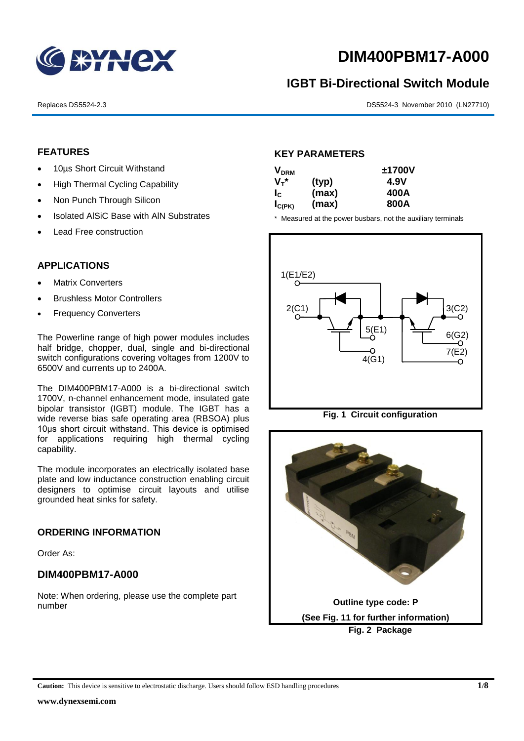

# **DIM400PBM17-A000**

## **IGBT Bi-Directional Switch Module**

Replaces DS5524-2.3 DS5524-3 November 2010 (LN27710)

#### **FEATURES**

- 10µs Short Circuit Withstand
- High Thermal Cycling Capability
- Non Punch Through Silicon
- Isolated AISiC Base with AIN Substrates
- Lead Free construction

#### **APPLICATIONS**

- Matrix Converters
- Brushless Motor Controllers
- Frequency Converters

The Powerline range of high power modules includes half bridge, chopper, dual, single and bi-directional switch configurations covering voltages from 1200V to 6500V and currents up to 2400A.

The DIM400PBM17-A000 is a bi-directional switch 1700V, n-channel enhancement mode, insulated gate bipolar transistor (IGBT) module. The IGBT has a wide reverse bias safe operating area (RBSOA) plus 10μs short circuit withstand. This device is optimised for applications requiring high thermal cycling capability.

The module incorporates an electrically isolated base plate and low inductance construction enabling circuit designers to optimise circuit layouts and utilise grounded heat sinks for safety.

#### **ORDERING INFORMATION**

Order As:

#### **DIM400PBM17-A000**

Note: When ordering, please use the complete part number

#### **KEY PARAMETERS**

| <b>V<sub>DRM</sub></b> |       | ±1700V |
|------------------------|-------|--------|
| $V_T^*$                | (typ) | 4.9V   |
| $I_{\rm C}$            | (max) | 400A   |
| $I_{C(PK)}$            | (max) | 800A   |

\* Measured at the power busbars, not the auxiliary terminals



**Fig. 1 Circuit configuration**



**Caution:** This device is sensitive to electrostatic discharge. Users should follow ESD handling procedures **1/8**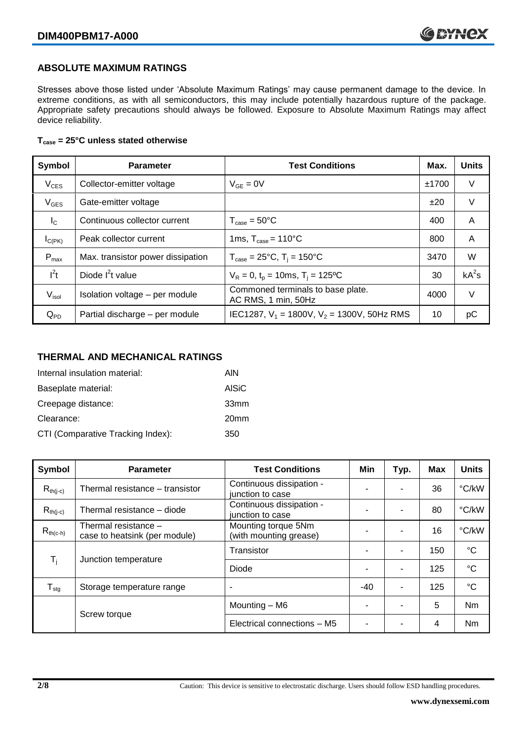#### **ABSOLUTE MAXIMUM RATINGS**

Stresses above those listed under 'Absolute Maximum Ratings' may cause permanent damage to the device. In extreme conditions, as with all semiconductors, this may include potentially hazardous rupture of the package. Appropriate safety precautions should always be followed. Exposure to Absolute Maximum Ratings may affect device reliability.

#### **Tcase = 25°C unless stated otherwise**

| Symbol            | <b>Parameter</b>                  | <b>Test Conditions</b>                                   | Max.  | <b>Units</b> |
|-------------------|-----------------------------------|----------------------------------------------------------|-------|--------------|
| $V_{CES}$         | Collector-emitter voltage         | $V_{GF} = 0V$                                            | ±1700 | V            |
| $V_{GES}$         | Gate-emitter voltage              |                                                          | ±20   | V            |
| $I_{\rm C}$       | Continuous collector current      | $T_{\text{case}} = 50^{\circ}$ C                         | 400   | A            |
| $I_{C(PK)}$       | Peak collector current            | 1ms, $T_{\text{case}} = 110^{\circ}$ C                   | 800   | A            |
| $P_{\text{max}}$  | Max. transistor power dissipation | $T_{\text{case}} = 25^{\circ}C$ , $T_i = 150^{\circ}C$   | 3470  | W            |
| $I^2t$            | Diode $I^2t$ value                | $V_R = 0$ , $t_p = 10$ ms, $T_i = 125$ °C                | 30    | $kA^2s$      |
| V <sub>isol</sub> | Isolation voltage - per module    | Commoned terminals to base plate.<br>AC RMS, 1 min, 50Hz | 4000  | V            |
| $Q_{PD}$          | Partial discharge - per module    | IEC1287, $V_1$ = 1800V, $V_2$ = 1300V, 50Hz RMS          | 10    | рC           |

#### **THERMAL AND MECHANICAL RATINGS**

| Internal insulation material:     | AIN              |
|-----------------------------------|------------------|
| Baseplate material:               | <b>AISiC</b>     |
| Creepage distance:                | 33mm             |
| Clearance:                        | 20 <sub>mm</sub> |
| CTI (Comparative Tracking Index): | 350              |

| Symbol                     | <b>Parameter</b>                                      | <b>Test Conditions</b>                        | Min   | Typ. | <b>Max</b> | <b>Units</b>    |
|----------------------------|-------------------------------------------------------|-----------------------------------------------|-------|------|------------|-----------------|
| $R_{th(i-c)}$              | Thermal resistance - transistor                       | Continuous dissipation -<br>junction to case  |       | ٠    | 36         | °C/kW           |
| $R_{th(i-c)}$              | Thermal resistance – diode                            | Continuous dissipation -<br>junction to case  | -     | ۰    | 80         | °C/kW           |
| $R_{th(c-h)}$              | Thermal resistance -<br>case to heatsink (per module) | Mounting torque 5Nm<br>(with mounting grease) | -     | ۰    | 16         | °C/kW           |
| $T_i$                      | Junction temperature                                  | Transistor                                    |       | ٠    | 150        | $^{\circ}C$     |
|                            |                                                       | Diode                                         |       | ٠    | 125        | $\rm ^{\circ}C$ |
| ${\mathsf T}_{\text{stg}}$ | Storage temperature range                             | ٠                                             | $-40$ | ٠    | 125        | $\rm ^{\circ}C$ |
|                            | Screw torque                                          | Mounting - M6                                 |       | ۰    | 5          | Nm              |
|                            |                                                       | Electrical connections - M5                   |       |      | 4          | <b>Nm</b>       |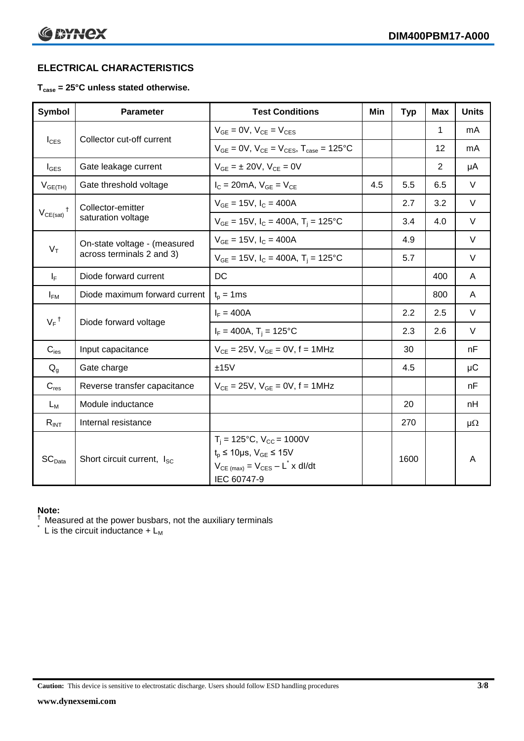### **ELECTRICAL CHARACTERISTICS**

#### **Tcase = 25°C unless stated otherwise.**

| Symbol             | <b>Parameter</b>              | <b>Test Conditions</b>                                                                                                                          | Min | <b>Typ</b> | Max | <b>Units</b> |
|--------------------|-------------------------------|-------------------------------------------------------------------------------------------------------------------------------------------------|-----|------------|-----|--------------|
| $I_{\text{CES}}$   |                               | $V_{GE} = 0V$ , $V_{CE} = V_{CES}$                                                                                                              |     |            | 1   | mA           |
|                    | Collector cut-off current     | $V_{GF} = 0V$ , $V_{CF} = V_{CES}$ , $T_{case} = 125^{\circ}C$                                                                                  |     |            | 12  | mA           |
| $I_{\text{GES}}$   | Gate leakage current          | $V_{GE} = \pm 20V$ , $V_{CE} = 0V$                                                                                                              |     |            | 2   | μA           |
| $V_{GE(TH)}$       | Gate threshold voltage        | $I_C = 20mA$ , $V_{GF} = V_{CF}$                                                                                                                | 4.5 | 5.5        | 6.5 | $\vee$       |
|                    | Collector-emitter             | $V_{GF} = 15V$ , $I_C = 400A$                                                                                                                   |     | 2.7        | 3.2 | $\vee$       |
| $V_{CE(sat)}$      | saturation voltage            | $V_{GE}$ = 15V, $I_C$ = 400A, $T_i$ = 125°C                                                                                                     |     | 3.4        | 4.0 | $\vee$       |
|                    | On-state voltage - (measured  | $V_{GF}$ = 15V, $I_C$ = 400A                                                                                                                    |     | 4.9        |     | $\vee$       |
| $V_T$              | across terminals 2 and 3)     | $V_{GE}$ = 15V, $I_C$ = 400A, $T_i$ = 125°C                                                                                                     |     | 5.7        |     | $\vee$       |
| $I_F$              | Diode forward current         | DC                                                                                                                                              |     |            | 400 | A            |
| $I_{FM}$           | Diode maximum forward current | $t_p = 1$ ms                                                                                                                                    |     |            | 800 | A            |
| $V_F$ <sup>†</sup> | Diode forward voltage         | $I_F = 400A$                                                                                                                                    |     | 2.2        | 2.5 | $\vee$       |
|                    |                               | $I_F = 400A$ , T <sub>i</sub> = 125°C                                                                                                           |     | 2.3        | 2.6 | $\vee$       |
| $C_{\text{ies}}$   | Input capacitance             | $V_{CF} = 25V$ , $V_{GF} = 0V$ , f = 1MHz                                                                                                       |     | 30         |     | nF           |
| $Q_q$              | Gate charge                   | ±15V                                                                                                                                            |     | 4.5        |     | $\mu$ C      |
| $C_{res}$          | Reverse transfer capacitance  | $V_{CE} = 25V$ , $V_{GE} = 0V$ , f = 1MHz                                                                                                       |     |            |     | nF           |
| $L_M$              | Module inductance             |                                                                                                                                                 |     | 20         |     | nH           |
| $R_{INT}$          | Internal resistance           |                                                                                                                                                 |     | 270        |     | $\mu\Omega$  |
| SC <sub>Data</sub> | Short circuit current, Isc.   | $T_i = 125$ °C, $V_{CC} = 1000V$<br>$t_p \le 10 \mu s$ , $V_{GE} \le 15V$<br>$V_{CE \text{ (max)}} = V_{CES} - L^* \times dl/dt$<br>IEC 60747-9 |     | 1600       |     | A            |

#### **Note:**

 $\dagger$  Measured at the power busbars, not the auxiliary terminals

 $\check{}$  L is the circuit inductance +  $L_M$ 

**Caution:** This device is sensitive to electrostatic discharge. Users should follow ESD handling procedures **3/8**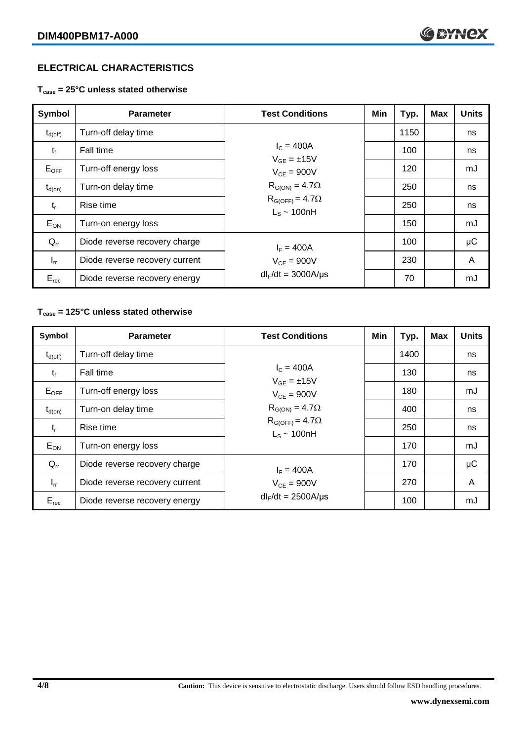### **ELECTRICAL CHARACTERISTICS**

**Tcase = 25°C unless stated otherwise**

| Symbol              | <b>Parameter</b>               | <b>Test Conditions</b>                       | Min | Typ. | <b>Max</b> | <b>Units</b> |
|---------------------|--------------------------------|----------------------------------------------|-----|------|------------|--------------|
| $t_{d(\text{off})}$ | Turn-off delay time            |                                              |     | 1150 |            | ns           |
| $t_{f}$             | Fall time                      | $I_{C} = 400A$<br>$V_{GF} = \pm 15V$         |     | 100  |            | ns           |
| $E_{OFF}$           | Turn-off energy loss           | $V_{CF} = 900V$                              |     | 120  |            | mJ           |
| $t_{d(on)}$         | Turn-on delay time             | $R_{G(ON)} = 4.7\Omega$                      |     | 250  |            | ns           |
| $t_{r}$             | Rise time                      | $R_{G(OFF)} = 4.7\Omega$<br>$L_s \sim 100nH$ |     | 250  |            | ns           |
| $E_{ON}$            | Turn-on energy loss            |                                              |     | 150  |            | mJ           |
| $Q_{rr}$            | Diode reverse recovery charge  | $I_F = 400A$                                 |     | 100  |            | μC           |
| $I_{rr}$            | Diode reverse recovery current | $V_{CF} = 900V$                              |     | 230  |            | A            |
| $E_{rec}$           | Diode reverse recovery energy  | $dl_F/dt = 3000A/\mu s$                      |     | 70   |            | mJ           |

#### **Tcase = 125°C unless stated otherwise**

| Symbol              | <b>Parameter</b>               | <b>Test Conditions</b>                       | Min | Typ. | <b>Max</b> | <b>Units</b> |
|---------------------|--------------------------------|----------------------------------------------|-----|------|------------|--------------|
| $t_{\text{d(off)}}$ | Turn-off delay time            |                                              |     | 1400 |            | ns           |
| $t_{f}$             | Fall time                      | $I_C = 400A$<br>$V_{GF} = \pm 15V$           |     | 130  |            | ns           |
| $E_{OFF}$           | Turn-off energy loss           | $V_{CF} = 900V$                              |     | 180  |            | mJ           |
| $t_{d(on)}$         | Turn-on delay time             | $R_{G(ON)} = 4.7\Omega$                      |     | 400  |            | ns           |
| $t_{r}$             | Rise time                      | $R_{G(OFF)} = 4.7\Omega$<br>$L_s \sim 100nH$ |     | 250  |            | ns           |
| $E_{ON}$            | Turn-on energy loss            |                                              |     | 170  |            | mJ           |
| $Q_{rr}$            | Diode reverse recovery charge  | $I_F = 400A$                                 |     | 170  |            | μC           |
| $I_{rr}$            | Diode reverse recovery current | $V_{CE}$ = 900V                              |     | 270  |            | A            |
| $E_{rec}$           | Diode reverse recovery energy  | $dl_F/dt = 2500A/\mu s$                      |     | 100  |            | mJ           |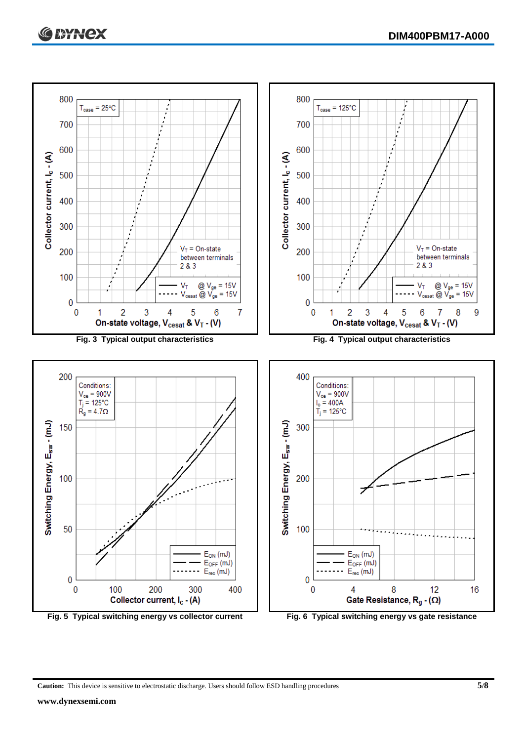

**Caution:** This device is sensitive to electrostatic discharge. Users should follow ESD handling procedures **5/8**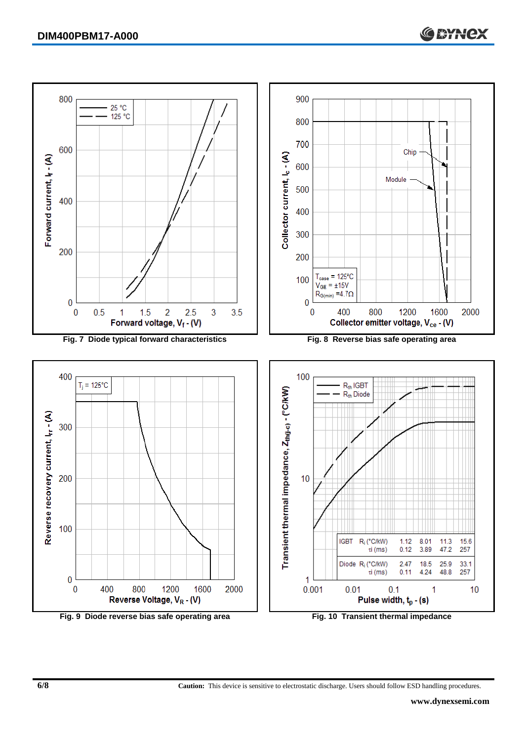

**Fig. 9 Diode reverse bias safe operating area Fig. 10 Transient thermal impedance**

**6/8 Caution:** This device is sensitive to electrostatic discharge. Users should follow ESD handling procedures.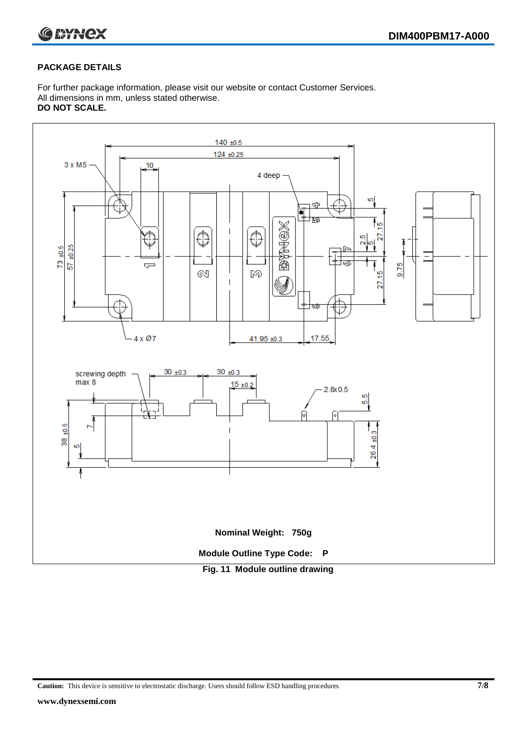

#### **PACKAGE DETAILS**

For further package information, please visit our website or contact Customer Services. All dimensions in mm, unless stated otherwise. **DO NOT SCALE.**



**Caution:** This device is sensitive to electrostatic discharge. Users should follow ESD handling procedures **7/8**